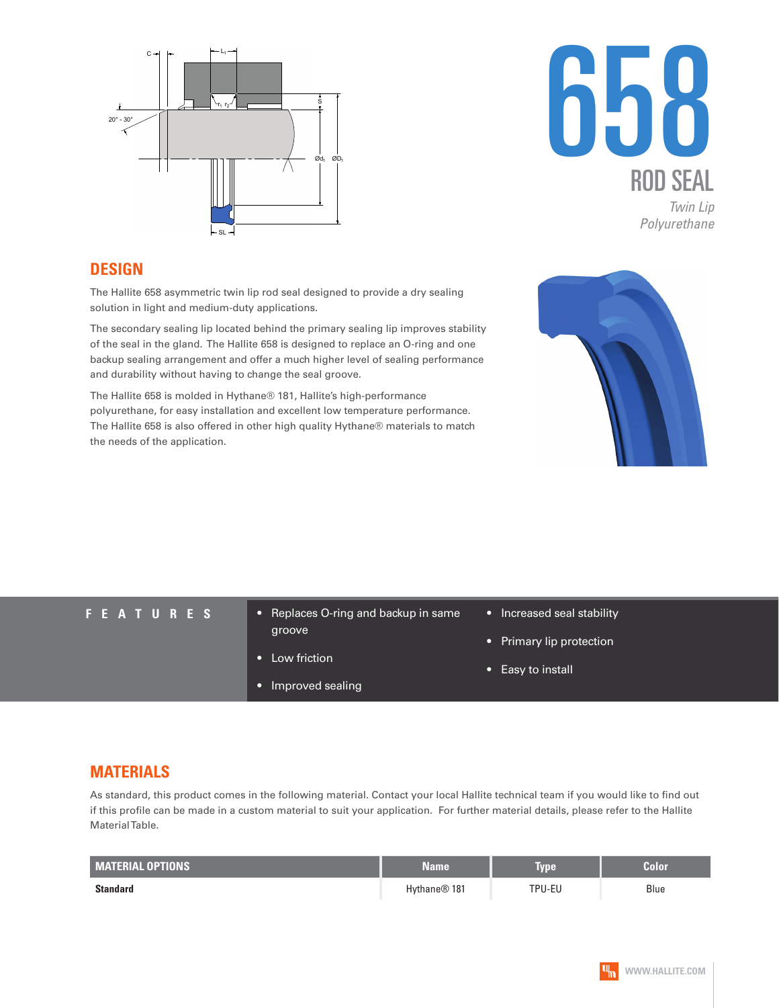



### **DESIGN**

The Hallite 658 asymmetric twin lip rod seal designed to provide a dry sealing solution in light and medium-duty applications.

The secondary sealing lip located behind the primary sealing lip improves stability of the seal in the gland. The Hallite 658 is designed to replace an O-ring and one backup sealing arrangement and offer a much higher level of sealing performance and durability without having to change the seal groove.

The Hallite 658 is molded in Hythane® 181, Hallite's high-performance polyurethane, for easy installation and excellent low temperature performance. The Hallite 658 is also offered in other high quality Hythane® materials to match the needs of the application.



- **FEATURES** Replaces O-ring and backup in same groove
	- Low friction
	- Improved sealing
- Increased seal stability
- Primary lip protection
- Easy to install

## **MATERIALS**

As standard, this product comes in the following material. Contact your local Hallite technical team if you would like to find out if this profile can be made in a custom material to suit your application. For further material details, please refer to the Hallite Material Table.

| <b>MATERIAL OPTIONS</b> | Name                     | <b>Type</b> | <b>Color</b> |
|-------------------------|--------------------------|-------------|--------------|
| Standard                | Hythane <sup>®</sup> 181 | TPU-EU      | Blue         |

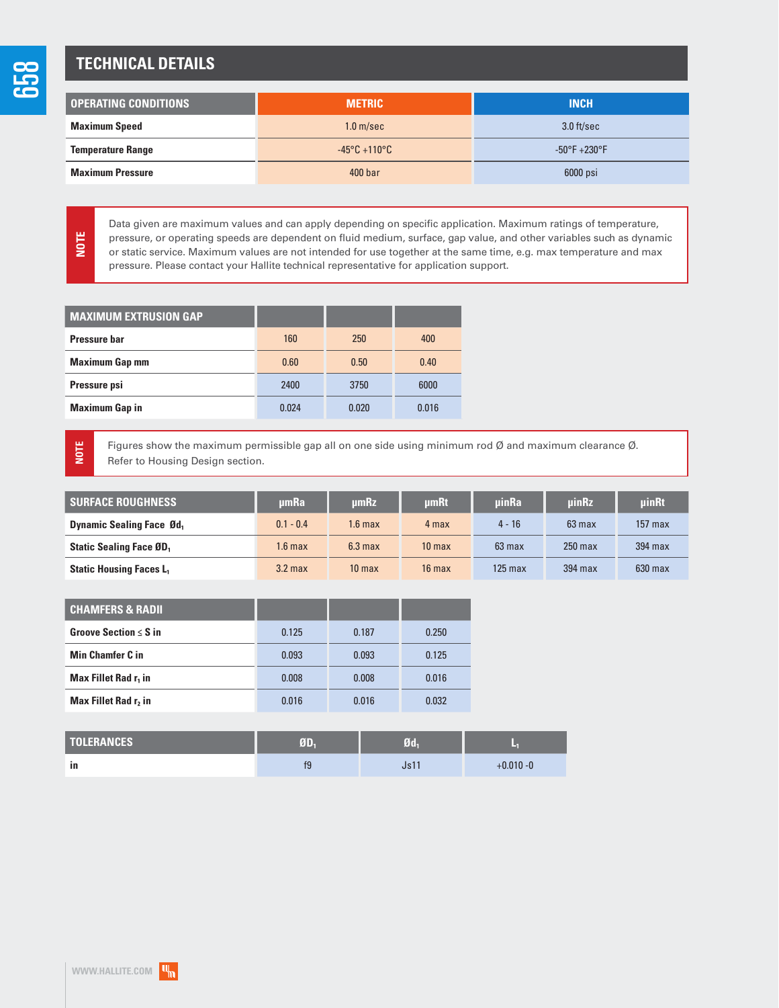# **TECHNICAL DETAILS**

| I OPERATING CONDITIONS   | <b>METRIC</b>                     | <b>INCH</b>                      |  |
|--------------------------|-----------------------------------|----------------------------------|--|
| <b>Maximum Speed</b>     | 1.0 <sub>m/sec</sub>              | $3.0$ ft/sec                     |  |
| <b>Temperature Range</b> | $-45^{\circ}$ C +110 $^{\circ}$ C | $-50^{\circ}$ F $+230^{\circ}$ F |  |
| <b>Maximum Pressure</b>  | 400 <sub>bar</sub>                | 6000 psi                         |  |

Data given are maximum values and can apply depending on specific application. Maximum ratings of temperature, pressure, or operating speeds are dependent on fluid medium, surface, gap value, and other variables such as dynamic or static service. Maximum values are not intended for use together at the same time, e.g. max temperature and max pressure. Please contact your Hallite technical representative for application support.

| <b>MAXIMUM EXTRUSION GAP</b> |       |       |       |
|------------------------------|-------|-------|-------|
| Pressure har                 | 160   | 250   | 400   |
| <b>Maximum Gap mm</b>        | 0.60  | 0.50  | 0.40  |
| Pressure psi                 | 2400  | 3750  | 6000  |
| <b>Maximum Gap in</b>        | 0.024 | 0.020 | 0.016 |
|                              |       |       |       |

**NOTE**

**NOTE**

Figures show the maximum permissible gap all on one side using minimum rod Ø and maximum clearance Ø. Refer to Housing Design section.

| <b>SURFACE ROUGHNESS</b>                   | umRa        | µmRz               | <b>umRt</b>       | <b>uinRa</b>     | <b>uinRz</b> | uinRt     |
|--------------------------------------------|-------------|--------------------|-------------------|------------------|--------------|-----------|
| <b>Dynamic Sealing Face Ød</b> ,           | $0.1 - 0.4$ | 1.6 max            | 4 max             | $4 - 16$         | $63$ max     | $157$ max |
| <b>Static Sealing Face ØD</b> <sub>1</sub> | $1.6$ max   | 6.3 <sub>max</sub> | 10 <sub>max</sub> | $63 \text{ max}$ | $250$ max    | 394 max   |
| <b>Static Housing Faces L</b>              | $3.2$ max   | 10 <sub>max</sub>  | $16$ max          | $125$ max        | 394 max      | $630$ max |

| <b>CHAMFERS &amp; RADII</b>      |       |       |       |
|----------------------------------|-------|-------|-------|
| Groove Section $\leq$ S in       | 0.125 | 0.187 | 0.250 |
| <b>Min Chamfer C in</b>          | 0.093 | 0.093 | 0.125 |
| Max Fillet Rad r <sub>1</sub> in | 0.008 | 0.008 | 0.016 |
| Max Fillet Rad r <sub>2</sub> in | 0.016 | 0.016 | 0.032 |

| <b>TOLERANCES</b> | 疝  | $\sim$ |              |
|-------------------|----|--------|--------------|
| ın                | t9 |        | $+0.010 - 0$ |